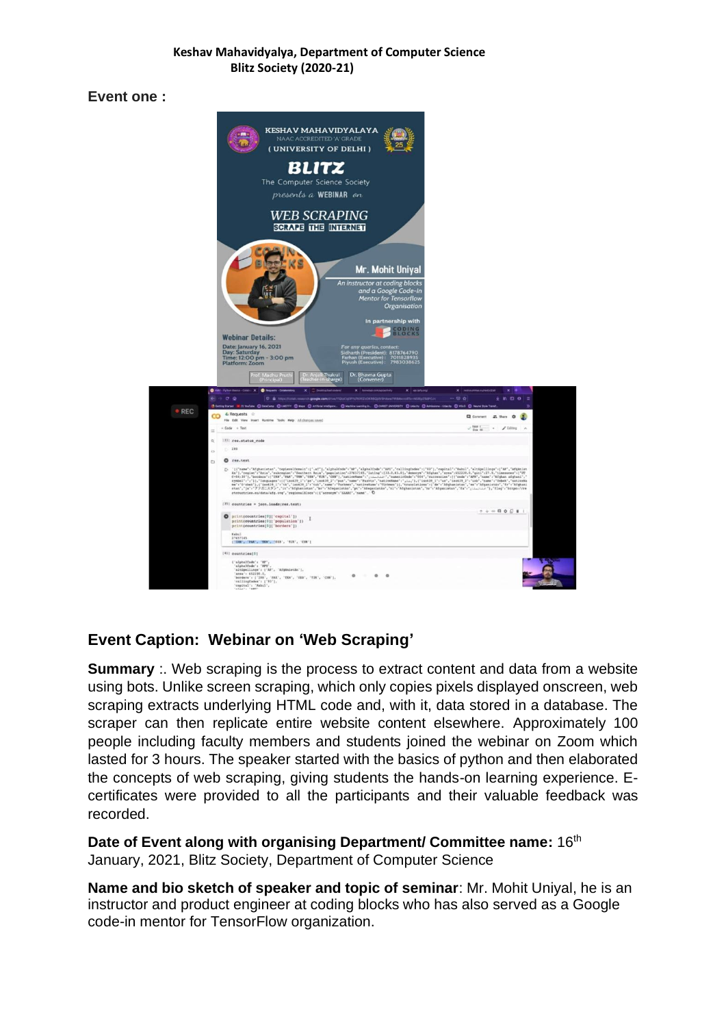#### **Keshav Mahavidyalya, Department of Computer Science Blitz Society (2020-21)**

**Event one :** 



# **Event Caption: Webinar on 'Web Scraping'**

**Summary** :. Web scraping is the process to extract content and data from a website using bots. Unlike screen scraping, which only copies pixels displayed onscreen, web scraping extracts underlying HTML code and, with it, data stored in a database. The scraper can then replicate entire website content elsewhere. Approximately 100 people including faculty members and students joined the webinar on Zoom which lasted for 3 hours. The speaker started with the basics of python and then elaborated the concepts of web scraping, giving students the hands-on learning experience. Ecertificates were provided to all the participants and their valuable feedback was recorded.

### **Date of Event along with organising Department/ Committee name: 16th** January, 2021, Blitz Society, Department of Computer Science

**Name and bio sketch of speaker and topic of seminar**: Mr. Mohit Uniyal, he is an instructor and product engineer at coding blocks who has also served as a Google code-in mentor for TensorFlow organization.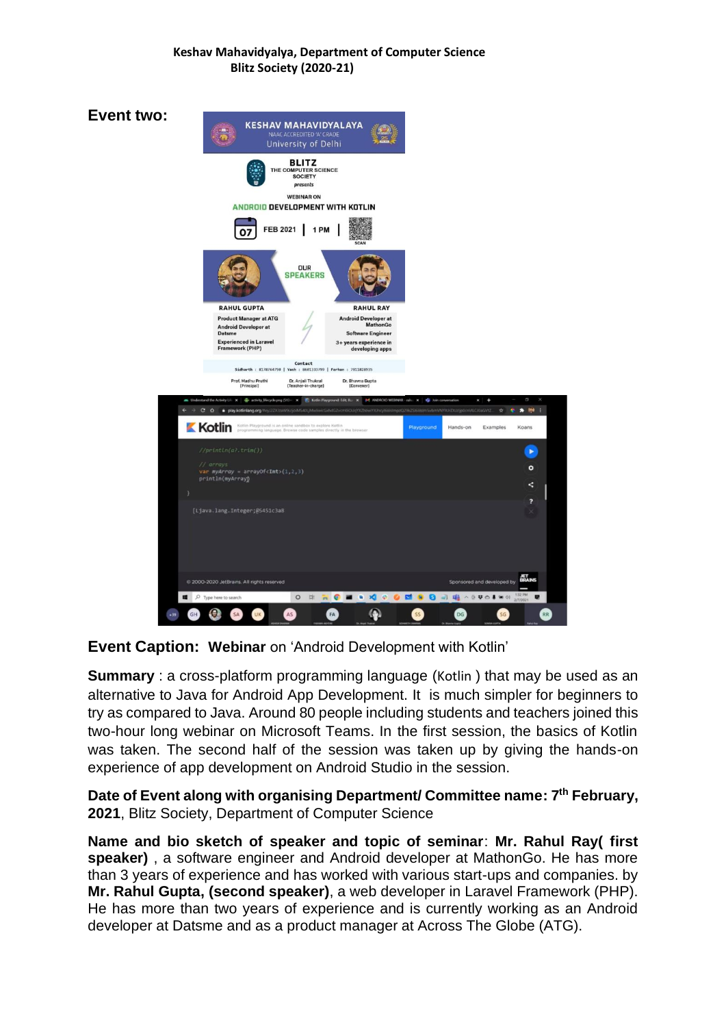### **Keshav Mahavidyalya, Department of Computer Science Blitz Society (2020-21)**

**Event two: KESHAV MAHAVIDYALAYA** University of Delhi **BLITZ** THE CO SCIENCE SOCIETY **WEBINAR ON** ANDROID DEVELOPMENT WITH KOTLIN FEB 2021 | 1 PM 07 **DUR SPEAKERS RAHUL GUPTA RAHUL RAY** roduct Manager at ATC **Android Developer at** re Engineer rk (PHP) Prof. Madhu Pruthi Dr. Anjali Thukral<br>[Teacher-in-charge] vna Gupta<br>1  $\bullet$  in . **Kotlin** Exa ⊙  $\circ$ *urruys*<br>- myArray = arrayOf<**Int**>(1,2,3)<br>ntln(myArrayn  $\prec$ þ [Ljava.lang.Integer;@5451c3ab **ROMAN**  $\blacksquare$   $\rho$  Type  $O$ □□●□□  $-5404$  $\bigcirc$ SA AS  $\bullet$  $\bullet$  $GH$ 

**Event Caption: Webinar** on 'Android Development with Kotlin'

**Summary** : a cross-platform programming language ([Kotlin](https://www.geeksforgeeks.org/introduction-to-kotlin/)) that may be used as an alternative to Java for Android App Development. It is much simpler for beginners to try as compared to Java. Around 80 people including students and teachers joined this two-hour long webinar on Microsoft Teams. In the first session, the basics of Kotlin was taken. The second half of the session was taken up by giving the hands-on experience of app development on Android Studio in the session.

**Date of Event along with organising Department/ Committee name: 7 th February, 2021**, Blitz Society, Department of Computer Science

**Name and bio sketch of speaker and topic of seminar**: **Mr. Rahul Ray( first speaker)** , a software engineer and Android developer at MathonGo. He has more than 3 years of experience and has worked with various start-ups and companies. by **Mr. Rahul Gupta, (second speaker)**, a web developer in Laravel Framework (PHP). He has more than two years of experience and is currently working as an Android developer at Datsme and as a product manager at Across The Globe (ATG).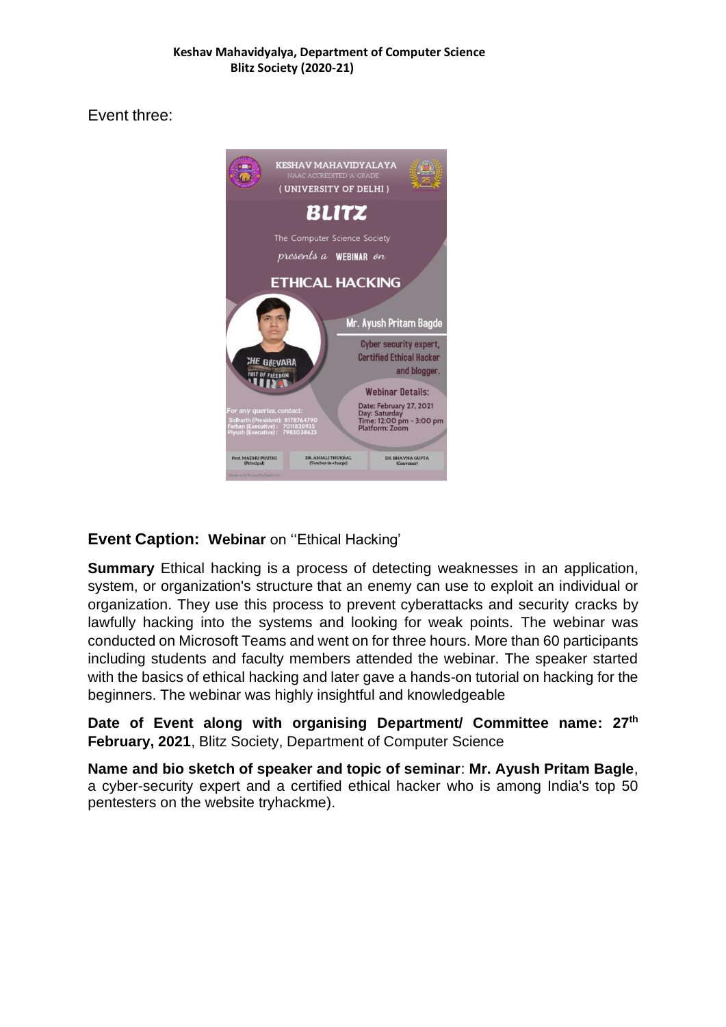Event three:



## **Event Caption: Webinar** on ''Ethical Hacking'

**Summary** Ethical hacking is a process of detecting weaknesses in an application, system, or organization's structure that an enemy can use to exploit an individual or organization. They use this process to prevent cyberattacks and security cracks by lawfully hacking into the systems and looking for weak points. The webinar was conducted on Microsoft Teams and went on for three hours. More than 60 participants including students and faculty members attended the webinar. The speaker started with the basics of ethical hacking and later gave a hands-on tutorial on hacking for the beginners. The webinar was highly insightful and knowledgeable

**Date of Event along with organising Department/ Committee name: 27th February, 2021**, Blitz Society, Department of Computer Science

**Name and bio sketch of speaker and topic of seminar**: **Mr. Ayush Pritam Bagle**, a cyber-security expert and a certified ethical hacker who is among India's top 50 pentesters on the website tryhackme).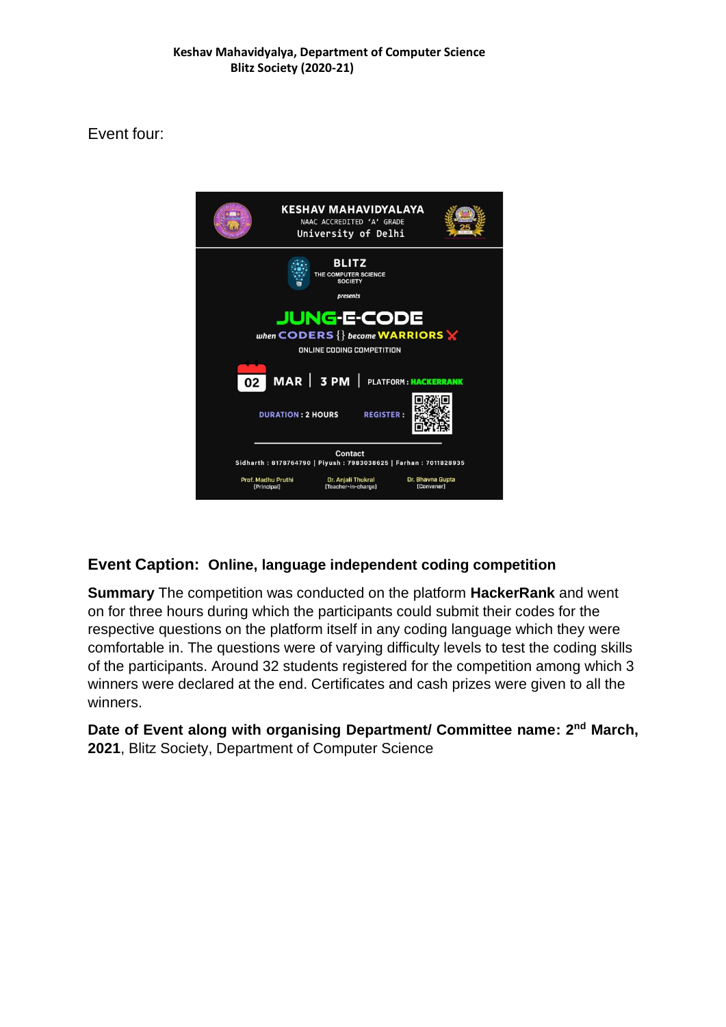## Event four:



## **Event Caption: Online, language independent coding competition**

**Summary** The competition was conducted on the platform **HackerRank** and went on for three hours during which the participants could submit their codes for the respective questions on the platform itself in any coding language which they were comfortable in. The questions were of varying difficulty levels to test the coding skills of the participants. Around 32 students registered for the competition among which 3 winners were declared at the end. Certificates and cash prizes were given to all the winners.

Date of Event along with organising Department/ Committee name: 2<sup>nd</sup> March, **2021**, Blitz Society, Department of Computer Science